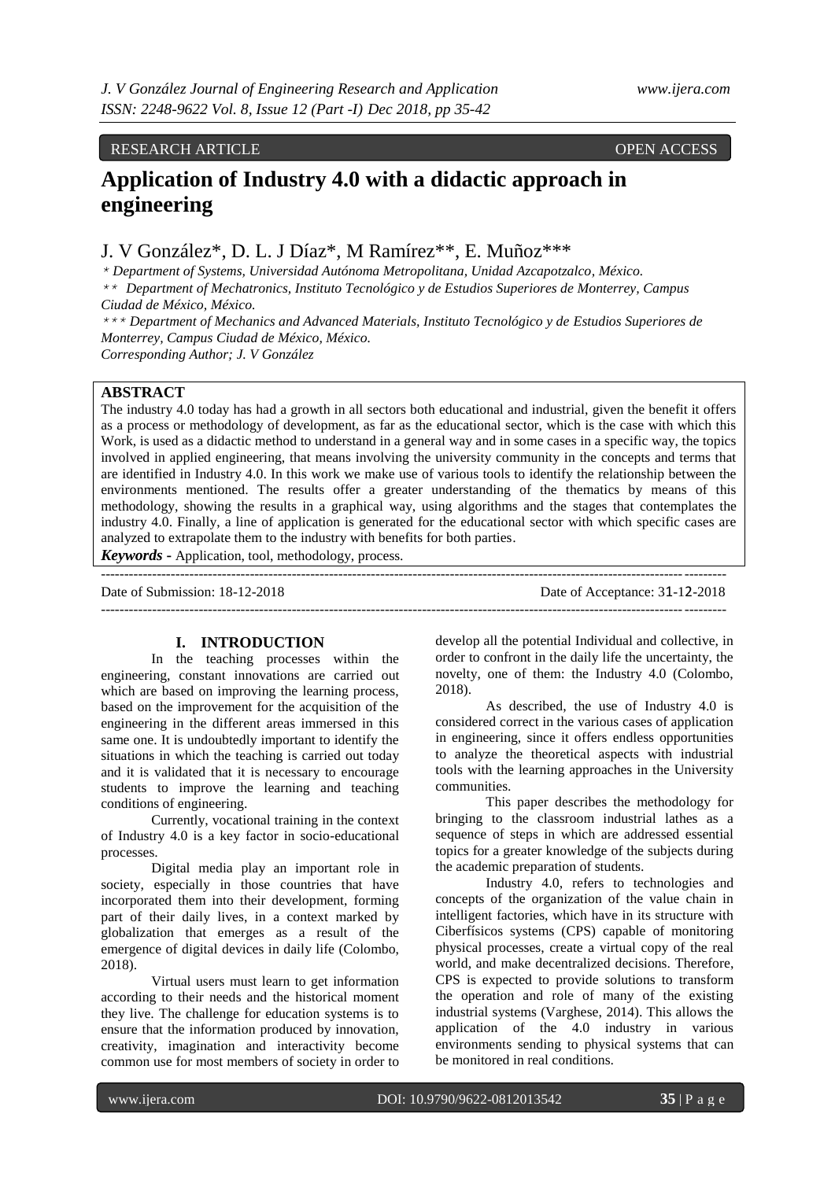# RESEARCH ARTICLE OPEN ACCESS

# **Application of Industry 4.0 with a didactic approach in engineering**

J. V González\*, D. L. J Díaz\*, M Ramírez\*\*, E. Muñoz\*\*\*

*\* Department of Systems, Universidad Autónoma Metropolitana, Unidad Azcapotzalco, México.*

*\*\* Department of Mechatronics, Instituto Tecnológico y de Estudios Superiores de Monterrey, Campus Ciudad de México, México.*

*\*\*\* Department of Mechanics and Advanced Materials, Instituto Tecnológico y de Estudios Superiores de Monterrey, Campus Ciudad de México, México.*

*Corresponding Author; J. V González*

# **ABSTRACT**

The industry 4.0 today has had a growth in all sectors both educational and industrial, given the benefit it offers as a process or methodology of development, as far as the educational sector, which is the case with which this Work, is used as a didactic method to understand in a general way and in some cases in a specific way, the topics involved in applied engineering, that means involving the university community in the concepts and terms that are identified in Industry 4.0. In this work we make use of various tools to identify the relationship between the environments mentioned. The results offer a greater understanding of the thematics by means of this methodology, showing the results in a graphical way, using algorithms and the stages that contemplates the industry 4.0. Finally, a line of application is generated for the educational sector with which specific cases are analyzed to extrapolate them to the industry with benefits for both parties.

*Keywords* **-** Application, tool, methodology, process.

-------------------------------------------------------------------------------------------------------------------------------------- Date of Submission: 18-12-2018 Date of Acceptance: 31-12-2018 --------------------------------------------------------------------------------------------------------------------------------------

# **I. INTRODUCTION**

In the teaching processes within the engineering, constant innovations are carried out which are based on improving the learning process, based on the improvement for the acquisition of the engineering in the different areas immersed in this same one. It is undoubtedly important to identify the situations in which the teaching is carried out today and it is validated that it is necessary to encourage students to improve the learning and teaching conditions of engineering.

Currently, vocational training in the context of Industry 4.0 is a key factor in socio-educational processes.

Digital media play an important role in society, especially in those countries that have incorporated them into their development, forming part of their daily lives, in a context marked by globalization that emerges as a result of the emergence of digital devices in daily life (Colombo, 2018).

Virtual users must learn to get information according to their needs and the historical moment they live. The challenge for education systems is to ensure that the information produced by innovation, creativity, imagination and interactivity become common use for most members of society in order to

develop all the potential Individual and collective, in order to confront in the daily life the uncertainty, the novelty, one of them: the Industry 4.0 (Colombo, 2018).

As described, the use of Industry 4.0 is considered correct in the various cases of application in engineering, since it offers endless opportunities to analyze the theoretical aspects with industrial tools with the learning approaches in the University communities.

This paper describes the methodology for bringing to the classroom industrial lathes as a sequence of steps in which are addressed essential topics for a greater knowledge of the subjects during the academic preparation of students.

Industry 4.0, refers to technologies and concepts of the organization of the value chain in intelligent factories, which have in its structure with Ciberfísicos systems (CPS) capable of monitoring physical processes, create a virtual copy of the real world, and make decentralized decisions. Therefore, CPS is expected to provide solutions to transform the operation and role of many of the existing industrial systems (Varghese, 2014). This allows the application of the 4.0 industry in various environments sending to physical systems that can be monitored in real conditions.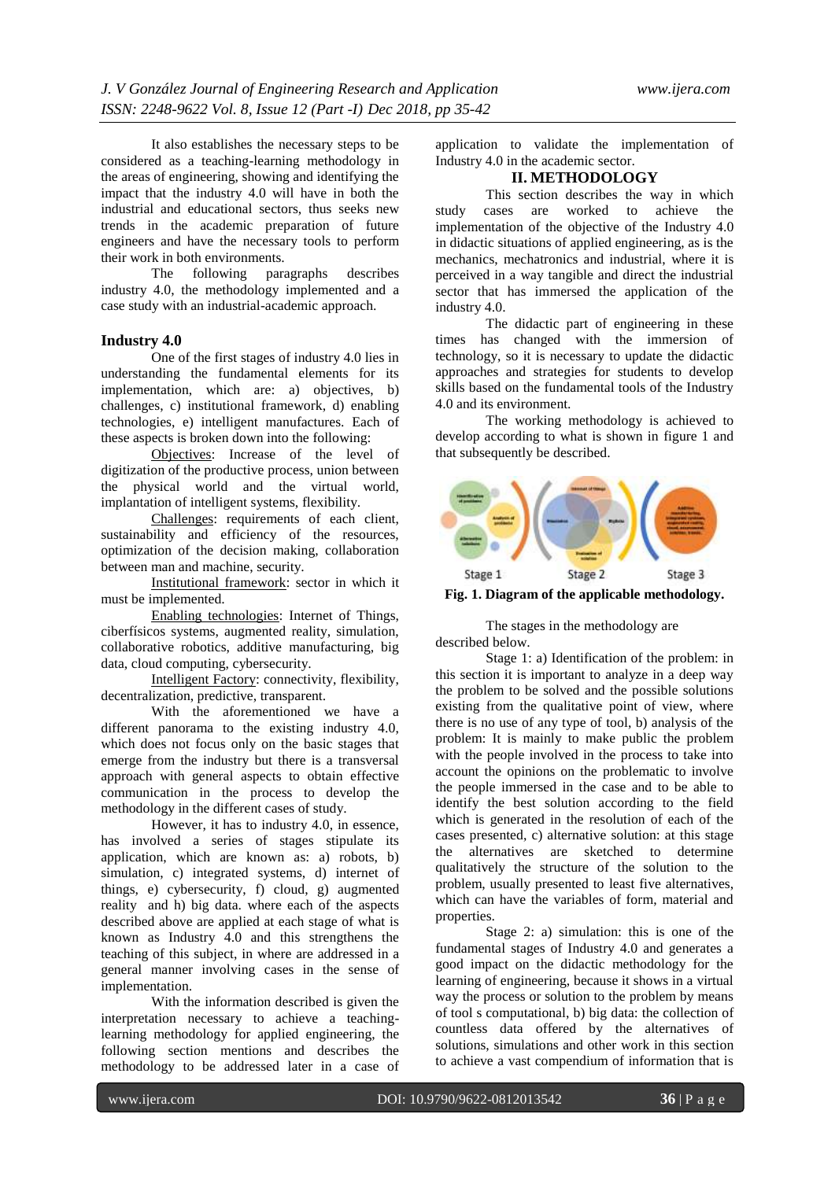It also establishes the necessary steps to be considered as a teaching-learning methodology in the areas of engineering, showing and identifying the impact that the industry 4.0 will have in both the industrial and educational sectors, thus seeks new trends in the academic preparation of future engineers and have the necessary tools to perform their work in both environments.

The following paragraphs describes industry 4.0, the methodology implemented and a case study with an industrial-academic approach.

#### **Industry 4.0**

One of the first stages of industry 4.0 lies in understanding the fundamental elements for its implementation, which are: a) objectives, b) challenges, c) institutional framework, d) enabling technologies, e) intelligent manufactures. Each of these aspects is broken down into the following:

Objectives: Increase of the level of digitization of the productive process, union between the physical world and the virtual world, implantation of intelligent systems, flexibility.

Challenges: requirements of each client, sustainability and efficiency of the resources, optimization of the decision making, collaboration between man and machine, security.

Institutional framework: sector in which it must be implemented.

Enabling technologies: Internet of Things, ciberfísicos systems, augmented reality, simulation, collaborative robotics, additive manufacturing, big data, cloud computing, cybersecurity.

Intelligent Factory: connectivity, flexibility, decentralization, predictive, transparent.

With the aforementioned we have a different panorama to the existing industry 4.0, which does not focus only on the basic stages that emerge from the industry but there is a transversal approach with general aspects to obtain effective communication in the process to develop the methodology in the different cases of study.

However, it has to industry 4.0, in essence, has involved a series of stages stipulate its application, which are known as: a) robots, b) simulation, c) integrated systems, d) internet of things, e) cybersecurity, f) cloud, g) augmented reality and h) big data. where each of the aspects described above are applied at each stage of what is known as Industry 4.0 and this strengthens the teaching of this subject, in where are addressed in a general manner involving cases in the sense of implementation.

With the information described is given the interpretation necessary to achieve a teachinglearning methodology for applied engineering, the following section mentions and describes the methodology to be addressed later in a case of application to validate the implementation of Industry 4.0 in the academic sector.

# **II. METHODOLOGY**

This section describes the way in which study cases are worked to achieve the implementation of the objective of the Industry 4.0 in didactic situations of applied engineering, as is the mechanics, mechatronics and industrial, where it is perceived in a way tangible and direct the industrial sector that has immersed the application of the industry 4.0.

The didactic part of engineering in these times has changed with the immersion of technology, so it is necessary to update the didactic approaches and strategies for students to develop skills based on the fundamental tools of the Industry 4.0 and its environment.

The working methodology is achieved to develop according to what is shown in figure 1 and that subsequently be described.



**Fig. 1. Diagram of the applicable methodology.**

The stages in the methodology are described below.

Stage 1: a) Identification of the problem: in this section it is important to analyze in a deep way the problem to be solved and the possible solutions existing from the qualitative point of view, where there is no use of any type of tool, b) analysis of the problem: It is mainly to make public the problem with the people involved in the process to take into account the opinions on the problematic to involve the people immersed in the case and to be able to identify the best solution according to the field which is generated in the resolution of each of the cases presented, c) alternative solution: at this stage the alternatives are sketched to determine qualitatively the structure of the solution to the problem, usually presented to least five alternatives, which can have the variables of form, material and properties.

Stage 2: a) simulation: this is one of the fundamental stages of Industry 4.0 and generates a good impact on the didactic methodology for the learning of engineering, because it shows in a virtual way the process or solution to the problem by means of tool s computational, b) big data: the collection of countless data offered by the alternatives of solutions, simulations and other work in this section to achieve a vast compendium of information that is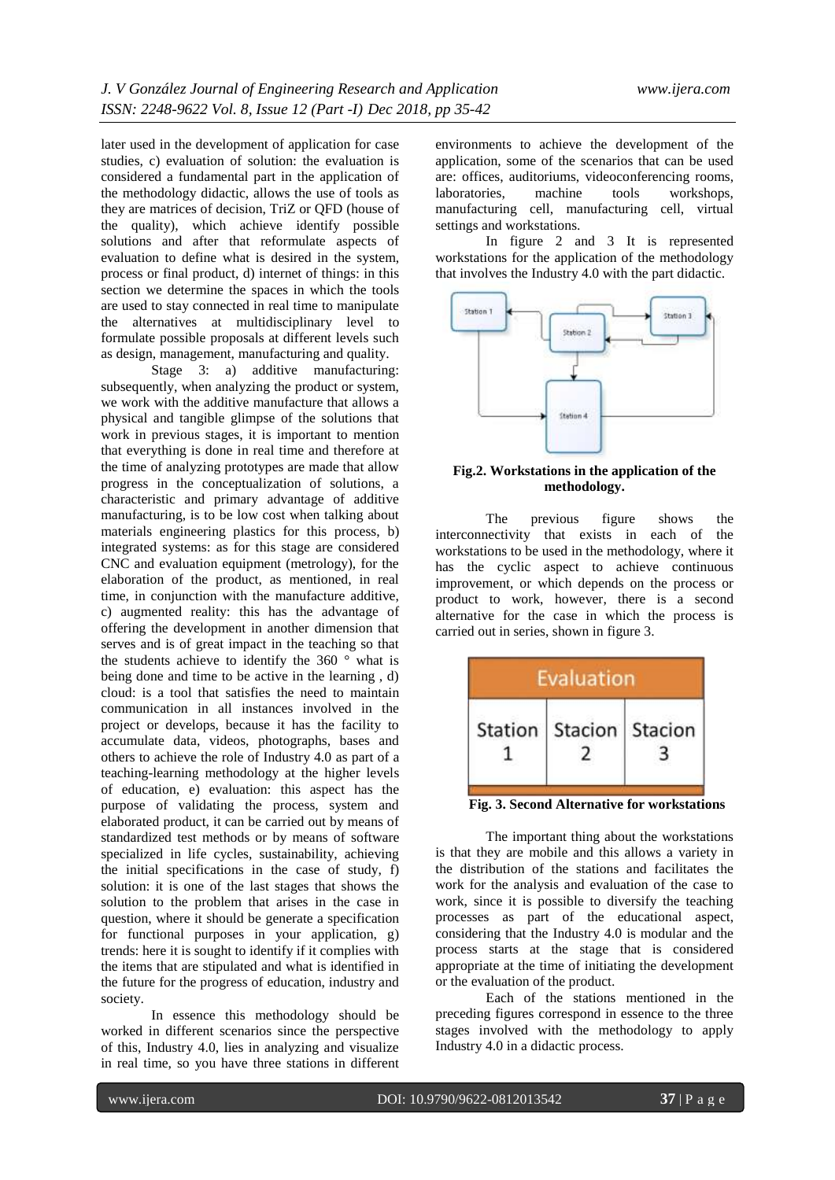later used in the development of application for case studies, c) evaluation of solution: the evaluation is considered a fundamental part in the application of the methodology didactic, allows the use of tools as they are matrices of decision, TriZ or QFD (house of the quality), which achieve identify possible solutions and after that reformulate aspects of evaluation to define what is desired in the system, process or final product, d) internet of things: in this section we determine the spaces in which the tools are used to stay connected in real time to manipulate the alternatives at multidisciplinary level to formulate possible proposals at different levels such as design, management, manufacturing and quality.

Stage 3: a) additive manufacturing: subsequently, when analyzing the product or system, we work with the additive manufacture that allows a physical and tangible glimpse of the solutions that work in previous stages, it is important to mention that everything is done in real time and therefore at the time of analyzing prototypes are made that allow progress in the conceptualization of solutions, a characteristic and primary advantage of additive manufacturing, is to be low cost when talking about materials engineering plastics for this process, b) integrated systems: as for this stage are considered CNC and evaluation equipment (metrology), for the elaboration of the product, as mentioned, in real time, in conjunction with the manufacture additive, c) augmented reality: this has the advantage of offering the development in another dimension that serves and is of great impact in the teaching so that the students achieve to identify the 360 ° what is being done and time to be active in the learning , d) cloud: is a tool that satisfies the need to maintain communication in all instances involved in the project or develops, because it has the facility to accumulate data, videos, photographs, bases and others to achieve the role of Industry 4.0 as part of a teaching-learning methodology at the higher levels of education, e) evaluation: this aspect has the purpose of validating the process, system and elaborated product, it can be carried out by means of standardized test methods or by means of software specialized in life cycles, sustainability, achieving the initial specifications in the case of study, f) solution: it is one of the last stages that shows the solution to the problem that arises in the case in question, where it should be generate a specification for functional purposes in your application, g) trends: here it is sought to identify if it complies with the items that are stipulated and what is identified in the future for the progress of education, industry and society.

In essence this methodology should be worked in different scenarios since the perspective of this, Industry 4.0, lies in analyzing and visualize in real time, so you have three stations in different

environments to achieve the development of the application, some of the scenarios that can be used are: offices, auditoriums, videoconferencing rooms,<br>laboratories. machine tools workshops. workshops, manufacturing cell, manufacturing cell, virtual settings and workstations.

In figure 2 and 3 It is represented workstations for the application of the methodology that involves the Industry 4.0 with the part didactic.



## **Fig.2. Workstations in the application of the methodology.**

The previous figure shows the interconnectivity that exists in each of the workstations to be used in the methodology, where it has the cyclic aspect to achieve continuous improvement, or which depends on the process or product to work, however, there is a second alternative for the case in which the process is carried out in series, shown in figure 3.

|         | Evaluation        |  |
|---------|-------------------|--|
| Station | Stacion   Stacion |  |

**Fig. 3. Second Alternative for workstations**

The important thing about the workstations is that they are mobile and this allows a variety in the distribution of the stations and facilitates the work for the analysis and evaluation of the case to work, since it is possible to diversify the teaching processes as part of the educational aspect, considering that the Industry 4.0 is modular and the process starts at the stage that is considered appropriate at the time of initiating the development or the evaluation of the product.

Each of the stations mentioned in the preceding figures correspond in essence to the three stages involved with the methodology to apply Industry 4.0 in a didactic process.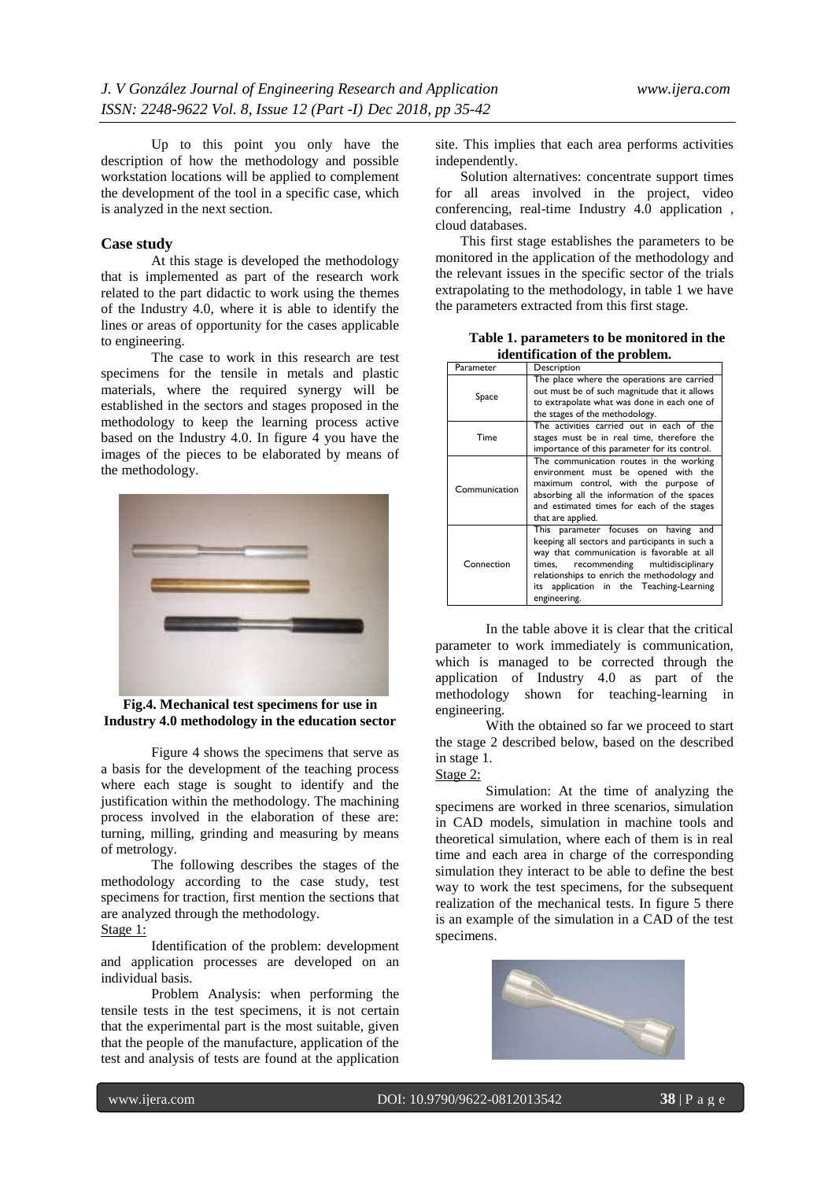Up to this point you only have the description of how the methodology and possible workstation locations will be applied to complement the development of the tool in a specific case, which is analyzed in the next section.

#### **Case study**

At this stage is developed the methodology that is implemented as part of the research work related to the part didactic to work using the themes of the Industry 4.0, where it is able to identify the lines or areas of opportunity for the cases applicable to engineering.

The case to work in this research are test specimens for the tensile in metals and plastic materials, where the required synergy will be established in the sectors and stages proposed in the methodology to keep the learning process active based on the Industry 4.0. In figure  $\overline{4}$  you have the images of the pieces to be elaborated by means of the methodology.



**Fig.4. Mechanical test specimens for use in Industry 4.0 methodology in the education sector**

Figure 4 shows the specimens that serve as a basis for the development of the teaching process where each stage is sought to identify and the justification within the methodology. The machining process involved in the elaboration of these are: turning, milling, grinding and measuring by means of metrology.

The following describes the stages of the methodology according to the case study, test specimens for traction, first mention the sections that are analyzed through the methodology. Stage 1:

Identification of the problem: development and application processes are developed on an individual basis.

Problem Analysis: when performing the tensile tests in the test specimens, it is not certain that the experimental part is the most suitable, given that the people of the manufacture, application of the test and analysis of tests are found at the application

site. This implies that each area performs activities independently.

Solution alternatives: concentrate support times for all areas involved in the project, video conferencing, real-time Industry 4.0 application , cloud databases.

This first stage establishes the parameters to be monitored in the application of the methodology and the relevant issues in the specific sector of the trials extrapolating to the methodology, in table 1 we have the parameters extracted from this first stage.

**Table 1. parameters to be monitored in the identification of the problem.**

| Parameter     | Description                                                                                                                                                                                                                                                                                    |
|---------------|------------------------------------------------------------------------------------------------------------------------------------------------------------------------------------------------------------------------------------------------------------------------------------------------|
| Space         | The place where the operations are carried<br>out must be of such magnitude that it allows<br>to extrapolate what was done in each one of<br>the stages of the methodology.                                                                                                                    |
| Time          | The activities carried out in each of the<br>stages must be in real time, therefore the<br>importance of this parameter for its control.                                                                                                                                                       |
| Communication | The communication routes in the working<br>environment must be opened with the<br>maximum control, with the purpose of<br>absorbing all the information of the spaces<br>and estimated times for each of the stages<br>that are applied.                                                       |
| Connection    | This parameter focuses on having<br>and<br>keeping all sectors and participants in such a<br>way that communication is favorable at all<br>recommending multidisciplinary<br>times,<br>relationships to enrich the methodology and<br>its application in the Teaching-Learning<br>engineering. |

In the table above it is clear that the critical parameter to work immediately is communication, which is managed to be corrected through the application of Industry 4.0 as part of the methodology shown for teaching-learning in engineering.

With the obtained so far we proceed to start the stage 2 described below, based on the described in stage 1.

# Stage 2:

Simulation: At the time of analyzing the specimens are worked in three scenarios, simulation in CAD models, simulation in machine tools and theoretical simulation, where each of them is in real time and each area in charge of the corresponding simulation they interact to be able to define the best way to work the test specimens, for the subsequent realization of the mechanical tests. In figure 5 there is an example of the simulation in a CAD of the test specimens.

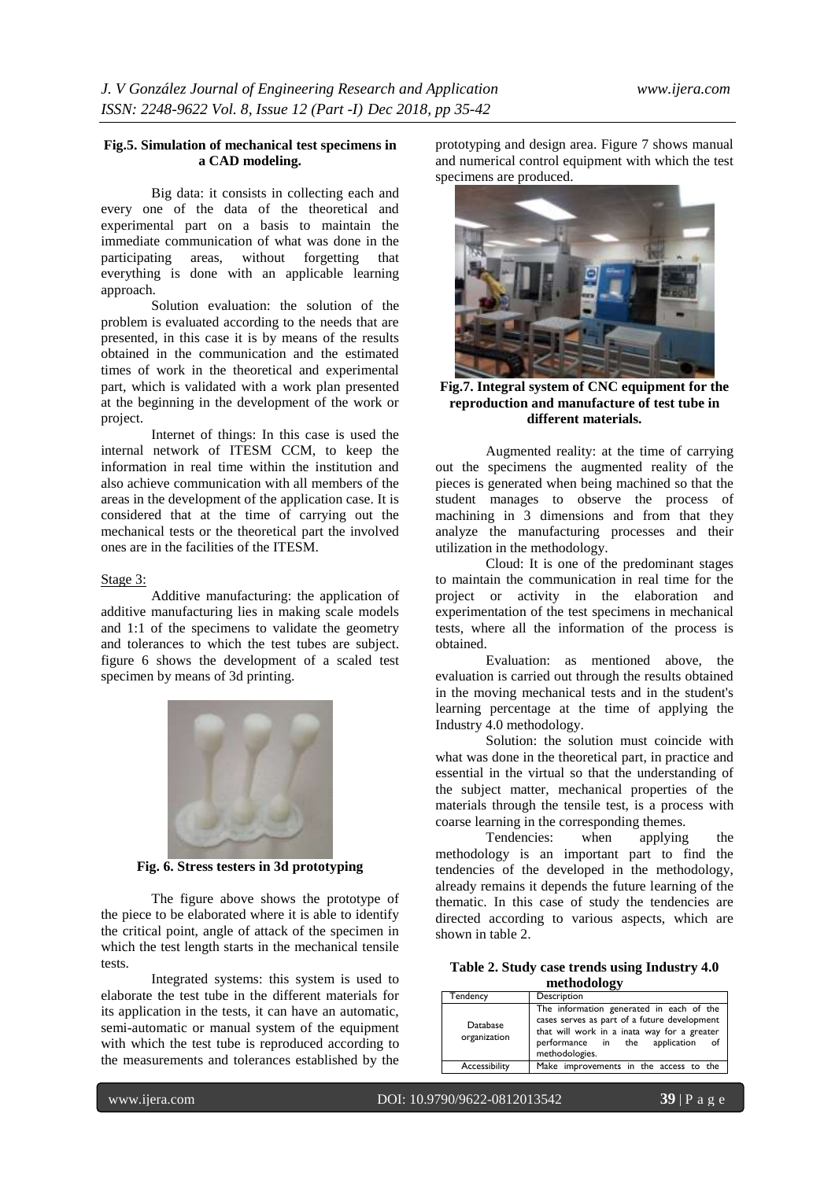## **Fig.5. Simulation of mechanical test specimens in a CAD modeling.**

Big data: it consists in collecting each and every one of the data of the theoretical and experimental part on a basis to maintain the immediate communication of what was done in the participating areas, without forgetting that everything is done with an applicable learning approach.

Solution evaluation: the solution of the problem is evaluated according to the needs that are presented, in this case it is by means of the results obtained in the communication and the estimated times of work in the theoretical and experimental part, which is validated with a work plan presented at the beginning in the development of the work or project.

Internet of things: In this case is used the internal network of ITESM CCM, to keep the information in real time within the institution and also achieve communication with all members of the areas in the development of the application case. It is considered that at the time of carrying out the mechanical tests or the theoretical part the involved ones are in the facilities of the ITESM.

#### Stage 3:

Additive manufacturing: the application of additive manufacturing lies in making scale models and 1:1 of the specimens to validate the geometry and tolerances to which the test tubes are subject. figure 6 shows the development of a scaled test specimen by means of 3d printing.



**Fig. 6. Stress testers in 3d prototyping**

The figure above shows the prototype of the piece to be elaborated where it is able to identify the critical point, angle of attack of the specimen in which the test length starts in the mechanical tensile tests.

Integrated systems: this system is used to elaborate the test tube in the different materials for its application in the tests, it can have an automatic, semi-automatic or manual system of the equipment with which the test tube is reproduced according to the measurements and tolerances established by the

prototyping and design area. Figure 7 shows manual and numerical control equipment with which the test specimens are produced.



**Fig.7. Integral system of CNC equipment for the reproduction and manufacture of test tube in different materials.**

Augmented reality: at the time of carrying out the specimens the augmented reality of the pieces is generated when being machined so that the student manages to observe the process of machining in 3 dimensions and from that they analyze the manufacturing processes and their utilization in the methodology.

Cloud: It is one of the predominant stages to maintain the communication in real time for the project or activity in the elaboration and experimentation of the test specimens in mechanical tests, where all the information of the process is obtained.

Evaluation: as mentioned above, the evaluation is carried out through the results obtained in the moving mechanical tests and in the student's learning percentage at the time of applying the Industry 4.0 methodology.

Solution: the solution must coincide with what was done in the theoretical part, in practice and essential in the virtual so that the understanding of the subject matter, mechanical properties of the materials through the tensile test, is a process with coarse learning in the corresponding themes.

Tendencies: when applying the methodology is an important part to find the tendencies of the developed in the methodology, already remains it depends the future learning of the thematic. In this case of study the tendencies are directed according to various aspects, which are shown in table 2.

| Table 2. Study case trends using Industry 4.0 |             |  |  |
|-----------------------------------------------|-------------|--|--|
|                                               | methodology |  |  |

| Tendency                 | Description                                                                                                                                                                                    |
|--------------------------|------------------------------------------------------------------------------------------------------------------------------------------------------------------------------------------------|
| Database<br>organization | The information generated in each of the<br>cases serves as part of a future development<br>that will work in a inata way for a greater<br>performance in the application of<br>methodologies. |
| Accessibility            | Make improvements in the access to the                                                                                                                                                         |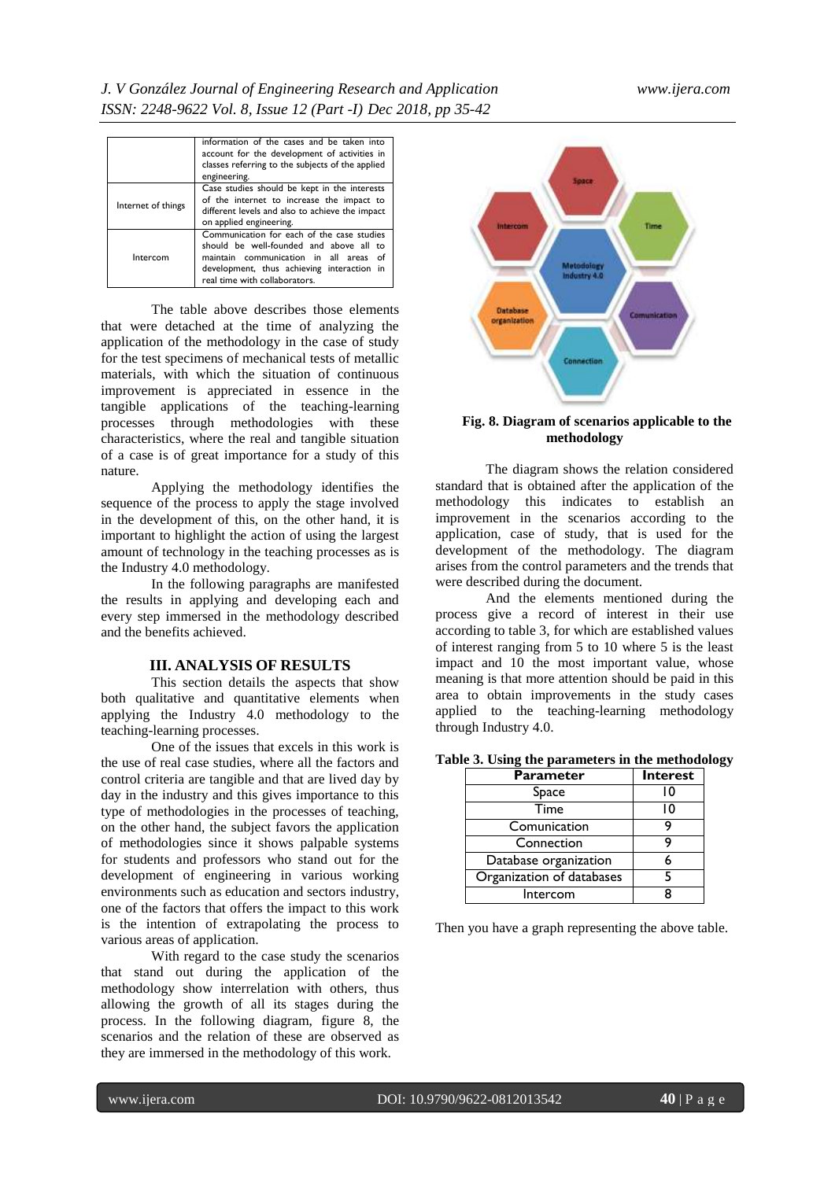|                    | information of the cases and be taken into<br>account for the development of activities in<br>classes referring to the subjects of the applied<br>engineering.                                                       |  |
|--------------------|----------------------------------------------------------------------------------------------------------------------------------------------------------------------------------------------------------------------|--|
| Internet of things | Case studies should be kept in the interests<br>of the internet to increase the impact to<br>different levels and also to achieve the impact<br>on applied engineering.                                              |  |
| Intercom           | Communication for each of the case studies<br>should be well-founded and above all to<br>maintain communication in all areas<br>Ωf<br>development, thus achieving interaction<br>in<br>real time with collaborators. |  |

The table above describes those elements that were detached at the time of analyzing the application of the methodology in the case of study for the test specimens of mechanical tests of metallic materials, with which the situation of continuous improvement is appreciated in essence in the tangible applications of the teaching-learning processes through methodologies with these characteristics, where the real and tangible situation of a case is of great importance for a study of this nature.

Applying the methodology identifies the sequence of the process to apply the stage involved in the development of this, on the other hand, it is important to highlight the action of using the largest amount of technology in the teaching processes as is the Industry 4.0 methodology.

In the following paragraphs are manifested the results in applying and developing each and every step immersed in the methodology described and the benefits achieved.

#### **III. ANALYSIS OF RESULTS**

This section details the aspects that show both qualitative and quantitative elements when applying the Industry 4.0 methodology to the teaching-learning processes.

One of the issues that excels in this work is the use of real case studies, where all the factors and control criteria are tangible and that are lived day by day in the industry and this gives importance to this type of methodologies in the processes of teaching, on the other hand, the subject favors the application of methodologies since it shows palpable systems for students and professors who stand out for the development of engineering in various working environments such as education and sectors industry, one of the factors that offers the impact to this work is the intention of extrapolating the process to various areas of application.

With regard to the case study the scenarios that stand out during the application of the methodology show interrelation with others, thus allowing the growth of all its stages during the process. In the following diagram, figure 8, the scenarios and the relation of these are observed as they are immersed in the methodology of this work.



## **Fig. 8. Diagram of scenarios applicable to the methodology**

The diagram shows the relation considered standard that is obtained after the application of the methodology this indicates to establish an improvement in the scenarios according to the application, case of study, that is used for the development of the methodology. The diagram arises from the control parameters and the trends that were described during the document.

And the elements mentioned during the process give a record of interest in their use according to table 3, for which are established values of interest ranging from 5 to 10 where 5 is the least impact and 10 the most important value, whose meaning is that more attention should be paid in this area to obtain improvements in the study cases applied to the teaching-learning methodology through Industry 4.0.

#### **Table 3. Using the parameters in the methodology**

| Parameter                 | <b>Interest</b> |
|---------------------------|-----------------|
| Space                     | 10              |
| Time                      | 10              |
| Comunication              |                 |
| Connection                |                 |
| Database organization     |                 |
| Organization of databases |                 |
| Intercom                  |                 |

Then you have a graph representing the above table.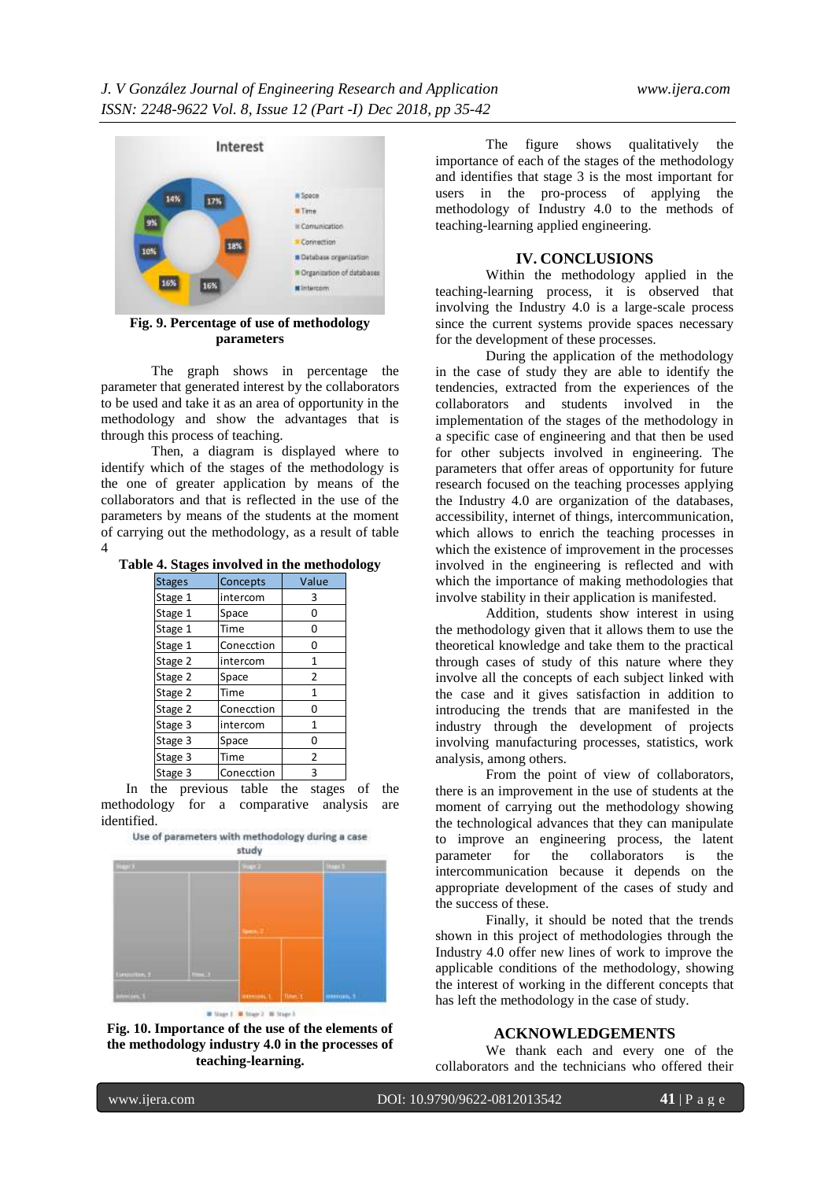

**Fig. 9. Percentage of use of methodology parameters**

The graph shows in percentage the parameter that generated interest by the collaborators to be used and take it as an area of opportunity in the methodology and show the advantages that is through this process of teaching.

Then, a diagram is displayed where to identify which of the stages of the methodology is the one of greater application by means of the collaborators and that is reflected in the use of the parameters by means of the students at the moment of carrying out the methodology, as a result of table 4

**Table 4. Stages involved in the methodology**

| <b>Stages</b> | Concepts   | Value          |  |
|---------------|------------|----------------|--|
| Stage 1       | intercom   | 3              |  |
| Stage 1       | Space      | O              |  |
| Stage 1       | Time       | ი              |  |
| Stage 1       | Conecction | ი              |  |
| Stage 2       | intercom   | 1              |  |
| Stage 2       | Space      | 2              |  |
| Stage 2       | Time       |                |  |
| Stage 2       | Conecction | n              |  |
| Stage 3       | intercom   | 1              |  |
| Stage 3       | Space      | O              |  |
| Stage 3       | Time       | $\overline{2}$ |  |
| Stage 3       | Conecction | ς              |  |

In the previous table the stages of the methodology for a comparative analysis are identified.<br>Use of parameters with methodology during a case





The figure shows qualitatively the importance of each of the stages of the methodology and identifies that stage 3 is the most important for users in the pro-process of applying the methodology of Industry 4.0 to the methods of teaching-learning applied engineering.

#### **IV. CONCLUSIONS**

Within the methodology applied in the teaching-learning process, it is observed that involving the Industry 4.0 is a large-scale process since the current systems provide spaces necessary for the development of these processes.

During the application of the methodology in the case of study they are able to identify the tendencies, extracted from the experiences of the collaborators and students involved in the implementation of the stages of the methodology in a specific case of engineering and that then be used for other subjects involved in engineering. The parameters that offer areas of opportunity for future research focused on the teaching processes applying the Industry 4.0 are organization of the databases, accessibility, internet of things, intercommunication, which allows to enrich the teaching processes in which the existence of improvement in the processes involved in the engineering is reflected and with which the importance of making methodologies that involve stability in their application is manifested.

Addition, students show interest in using the methodology given that it allows them to use the theoretical knowledge and take them to the practical through cases of study of this nature where they involve all the concepts of each subject linked with the case and it gives satisfaction in addition to introducing the trends that are manifested in the industry through the development of projects involving manufacturing processes, statistics, work analysis, among others.

From the point of view of collaborators, there is an improvement in the use of students at the moment of carrying out the methodology showing the technological advances that they can manipulate to improve an engineering process, the latent<br>parameter for the collaborators is the collaborators intercommunication because it depends on the appropriate development of the cases of study and the success of these.

Finally, it should be noted that the trends shown in this project of methodologies through the Industry 4.0 offer new lines of work to improve the applicable conditions of the methodology, showing the interest of working in the different concepts that has left the methodology in the case of study.

# **ACKNOWLEDGEMENTS**

We thank each and every one of the collaborators and the technicians who offered their